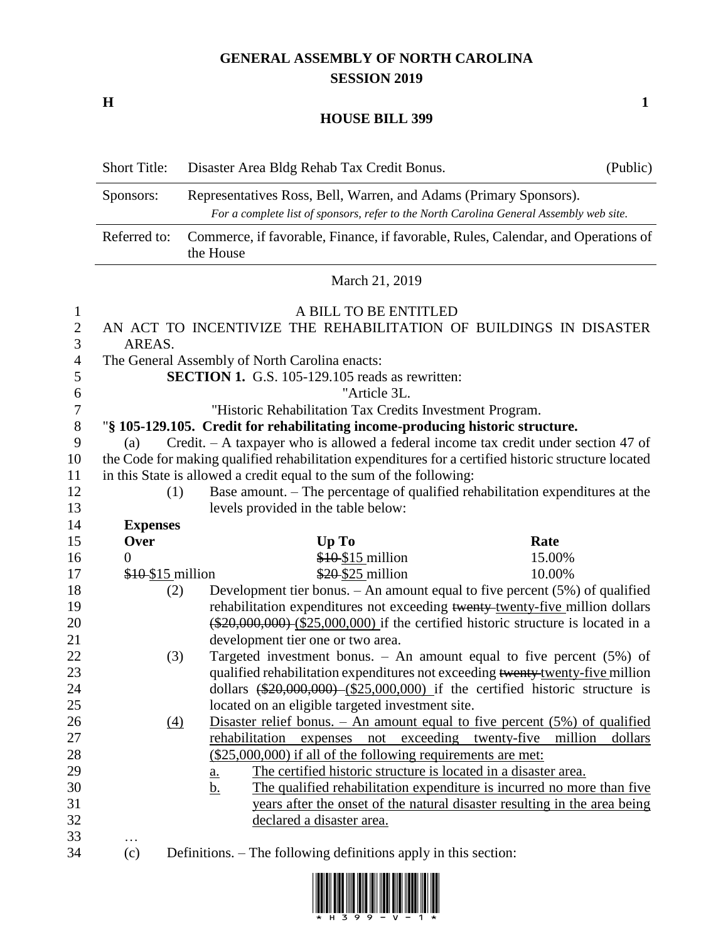## **GENERAL ASSEMBLY OF NORTH CAROLINA SESSION 2019**

**H 1**

## **HOUSE BILL 399**

|                                 | <b>Short Title:</b>                                                                                  | Disaster Area Bldg Rehab Tax Credit Bonus.                                                                                                                   | (Public) |
|---------------------------------|------------------------------------------------------------------------------------------------------|--------------------------------------------------------------------------------------------------------------------------------------------------------------|----------|
|                                 | Sponsors:                                                                                            | Representatives Ross, Bell, Warren, and Adams (Primary Sponsors).<br>For a complete list of sponsors, refer to the North Carolina General Assembly web site. |          |
|                                 | Referred to:                                                                                         | Commerce, if favorable, Finance, if favorable, Rules, Calendar, and Operations of<br>the House                                                               |          |
|                                 | March 21, 2019                                                                                       |                                                                                                                                                              |          |
| $\mathbf{1}$<br>$\sqrt{2}$<br>3 | A BILL TO BE ENTITLED<br>AN ACT TO INCENTIVIZE THE REHABILITATION OF BUILDINGS IN DISASTER<br>AREAS. |                                                                                                                                                              |          |
| $\overline{4}$                  | The General Assembly of North Carolina enacts:                                                       |                                                                                                                                                              |          |
| 5                               |                                                                                                      | <b>SECTION 1.</b> G.S. 105-129.105 reads as rewritten:                                                                                                       |          |
| 6                               |                                                                                                      | "Article 3L.                                                                                                                                                 |          |
| $\boldsymbol{7}$                |                                                                                                      | "Historic Rehabilitation Tax Credits Investment Program.                                                                                                     |          |
| $8\,$                           | "§ 105-129.105. Credit for rehabilitating income-producing historic structure.                       |                                                                                                                                                              |          |
| 9                               | Credit. - A taxpayer who is allowed a federal income tax credit under section 47 of<br>(a)           |                                                                                                                                                              |          |
| 10                              | the Code for making qualified rehabilitation expenditures for a certified historic structure located |                                                                                                                                                              |          |
| 11                              | in this State is allowed a credit equal to the sum of the following:                                 |                                                                                                                                                              |          |
| 12                              | (1)                                                                                                  | Base amount. – The percentage of qualified rehabilitation expenditures at the                                                                                |          |
| 13                              |                                                                                                      | levels provided in the table below:                                                                                                                          |          |
| 14                              | <b>Expenses</b>                                                                                      |                                                                                                                                                              |          |
| 15                              | Over                                                                                                 | Up To<br>Rate                                                                                                                                                |          |
| 16                              | $\Omega$                                                                                             | $$10$15$ million<br>15.00%                                                                                                                                   |          |
| 17                              |                                                                                                      | \$10 \$15 million<br>\$20 \$25 million<br>10.00%                                                                                                             |          |
| 18                              | (2)                                                                                                  | Development tier bonus. $-$ An amount equal to five percent (5%) of qualified                                                                                |          |
| 19                              |                                                                                                      | rehabilitation expenditures not exceeding twenty-twenty-five million dollars                                                                                 |          |
| 20                              |                                                                                                      | $(*20,000,000)$ $(*25,000,000)$ if the certified historic structure is located in a                                                                          |          |
| 21                              |                                                                                                      | development tier one or two area.                                                                                                                            |          |
| 22                              | (3)                                                                                                  | Targeted investment bonus. $-$ An amount equal to five percent (5%) of                                                                                       |          |
| 23                              |                                                                                                      | qualified rehabilitation expenditures not exceeding twenty-twenty-five million                                                                               |          |
| 24                              |                                                                                                      | dollars $(*20,000,000)$ $(*25,000,000)$ if the certified historic structure is                                                                               |          |
| 25                              |                                                                                                      | located on an eligible targeted investment site.                                                                                                             |          |
| 26                              | $\Delta$                                                                                             | Disaster relief bonus. $-$ An amount equal to five percent $(5\%)$ of qualified                                                                              |          |
| 27                              |                                                                                                      | rehabilitation expenses not exceeding twenty-five million                                                                                                    | dollars  |
| 28                              |                                                                                                      | (\$25,000,000) if all of the following requirements are met:                                                                                                 |          |
| 29                              |                                                                                                      | The certified historic structure is located in a disaster area.<br><u>a.</u>                                                                                 |          |
| 30                              |                                                                                                      | The qualified rehabilitation expenditure is incurred no more than five<br><u>b.</u>                                                                          |          |
| 31                              |                                                                                                      | years after the onset of the natural disaster resulting in the area being                                                                                    |          |
| 32                              |                                                                                                      | declared a disaster area.                                                                                                                                    |          |
| 33                              | .                                                                                                    |                                                                                                                                                              |          |
| 34                              | (c)                                                                                                  | Definitions. – The following definitions apply in this section:                                                                                              |          |